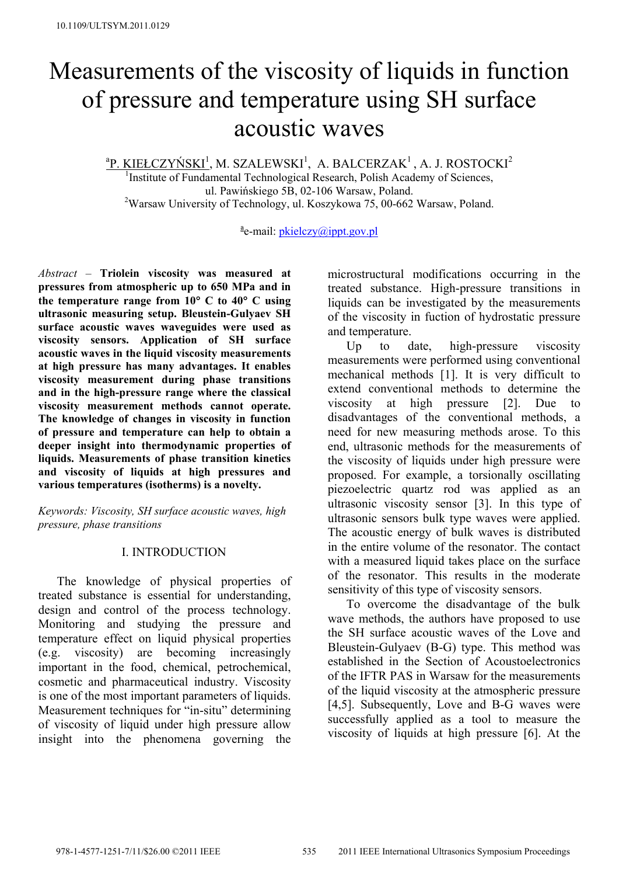# Measurements of the viscosity of liquids in function of pressure and temperature using SH surface acoustic waves

<u>ªP. KIEŁCZYŃSKI<sup>1</sup>,</u> M. SZALEWSKI<sup>1</sup>, A. BALCERZAK<sup>1</sup>, A. J. ROSTOCKI<sup>2</sup>

<sup>1</sup>Institute of Fundamental Technological Research, Polish Academy of Sciences, ul. Pawińskiego 5B, 02-106 Warsaw, Poland. <sup>2</sup>Warsaw University of Technology, ul. Koszykowa 75, 00-662 Warsaw, Poland.

<sup>a</sup> e-mail: pkielczy@ippt.gov.pl

*Abstract –* **Triolein viscosity was measured at pressures from atmospheric up to 650 MPa and in the temperature range from 10**° **C to 40**° **C using ultrasonic measuring setup. Bleustein-Gulyaev SH surface acoustic waves waveguides were used as viscosity sensors. Application of SH surface acoustic waves in the liquid viscosity measurements at high pressure has many advantages. It enables viscosity measurement during phase transitions and in the high-pressure range where the classical viscosity measurement methods cannot operate. The knowledge of changes in viscosity in function of pressure and temperature can help to obtain a deeper insight into thermodynamic properties of liquids. Measurements of phase transition kinetics and viscosity of liquids at high pressures and various temperatures (isotherms) is a novelty.** 

*Keywords: Viscosity, SH surface acoustic waves, high pressure, phase transitions* 

### I. INTRODUCTION

 The knowledge of physical properties of treated substance is essential for understanding, design and control of the process technology. Monitoring and studying the pressure and temperature effect on liquid physical properties (e.g. viscosity) are becoming increasingly important in the food, chemical, petrochemical, cosmetic and pharmaceutical industry. Viscosity is one of the most important parameters of liquids. Measurement techniques for "in-situ" determining of viscosity of liquid under high pressure allow insight into the phenomena governing the

microstructural modifications occurring in the treated substance. High-pressure transitions in liquids can be investigated by the measurements of the viscosity in fuction of hydrostatic pressure and temperature.

Up to date, high-pressure viscosity measurements were performed using conventional mechanical methods [1]. It is very difficult to extend conventional methods to determine the viscosity at high pressure [2]. Due to disadvantages of the conventional methods, a need for new measuring methods arose. To this end, ultrasonic methods for the measurements of the viscosity of liquids under high pressure were proposed. For example, a torsionally oscillating piezoelectric quartz rod was applied as an ultrasonic viscosity sensor [3]. In this type of ultrasonic sensors bulk type waves were applied. The acoustic energy of bulk waves is distributed in the entire volume of the resonator. The contact with a measured liquid takes place on the surface of the resonator. This results in the moderate sensitivity of this type of viscosity sensors.

 To overcome the disadvantage of the bulk wave methods, the authors have proposed to use the SH surface acoustic waves of the Love and Bleustein-Gulyaev (B-G) type. This method was established in the Section of Acoustoelectronics of the IFTR PAS in Warsaw for the measurements of the liquid viscosity at the atmospheric pressure [4,5]. Subsequently, Love and B-G waves were successfully applied as a tool to measure the viscosity of liquids at high pressure [6]. At the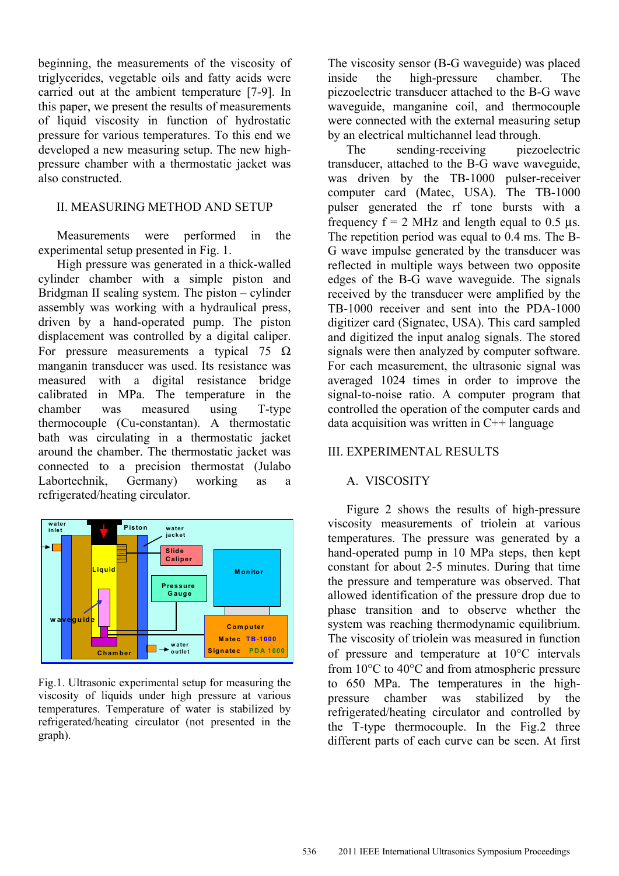beginning, the measurements of the viscosity of triglycerides, vegetable oils and fatty acids were carried out at the ambient temperature [7-9]. In this paper, we present the results of measurements of liquid viscosity in function of hydrostatic pressure for various temperatures. To this end we developed a new measuring setup. The new highpressure chamber with a thermostatic jacket was also constructed.

#### II. MEASURING METHOD AND SETUP

 Measurements were performed in the experimental setup presented in Fig. 1.

 High pressure was generated in a thick-walled cylinder chamber with a simple piston and Bridgman II sealing system. The piston – cylinder assembly was working with a hydraulical press, driven by a hand-operated pump. The piston displacement was controlled by a digital caliper. For pressure measurements a typical 75  $\Omega$ manganin transducer was used. Its resistance was measured with a digital resistance bridge calibrated in MPa. The temperature in the chamber was measured using T-type thermocouple (Cu-constantan). A thermostatic bath was circulating in a thermostatic jacket around the chamber. The thermostatic jacket was connected to a precision thermostat (Julabo Labortechnik, Germany) working as a refrigerated/heating circulator.



Fig.1. Ultrasonic experimental setup for measuring the viscosity of liquids under high pressure at various temperatures. Temperature of water is stabilized by refrigerated/heating circulator (not presented in the graph).

The viscosity sensor (B-G waveguide) was placed inside the high-pressure chamber. The piezoelectric transducer attached to the B-G wave waveguide, manganine coil, and thermocouple were connected with the external measuring setup by an electrical multichannel lead through.

The sending-receiving piezoelectric transducer, attached to the B-G wave waveguide, was driven by the TB-1000 pulser-receiver computer card (Matec, USA). The TB-1000 pulser generated the rf tone bursts with a frequency  $f = 2$  MHz and length equal to 0.5 μs. The repetition period was equal to 0.4 ms. The B-G wave impulse generated by the transducer was reflected in multiple ways between two opposite edges of the B-G wave waveguide. The signals received by the transducer were amplified by the TB-1000 receiver and sent into the PDA-1000 digitizer card (Signatec, USA). This card sampled and digitized the input analog signals. The stored signals were then analyzed by computer software. For each measurement, the ultrasonic signal was averaged 1024 times in order to improve the signal-to-noise ratio. A computer program that controlled the operation of the computer cards and data acquisition was written in  $C++$  language

### III. EXPERIMENTAL RESULTS

# A. VISCOSITY

 Figure 2 shows the results of high-pressure viscosity measurements of triolein at various temperatures. The pressure was generated by a hand-operated pump in 10 MPa steps, then kept constant for about 2-5 minutes. During that time the pressure and temperature was observed. That allowed identification of the pressure drop due to phase transition and to observe whether the system was reaching thermodynamic equilibrium. The viscosity of triolein was measured in function of pressure and temperature at 10°C intervals from 10°C to 40°C and from atmospheric pressure to 650 MPa. The temperatures in the highpressure chamber was stabilized by the refrigerated/heating circulator and controlled by the T-type thermocouple. In the Fig.2 three different parts of each curve can be seen. At first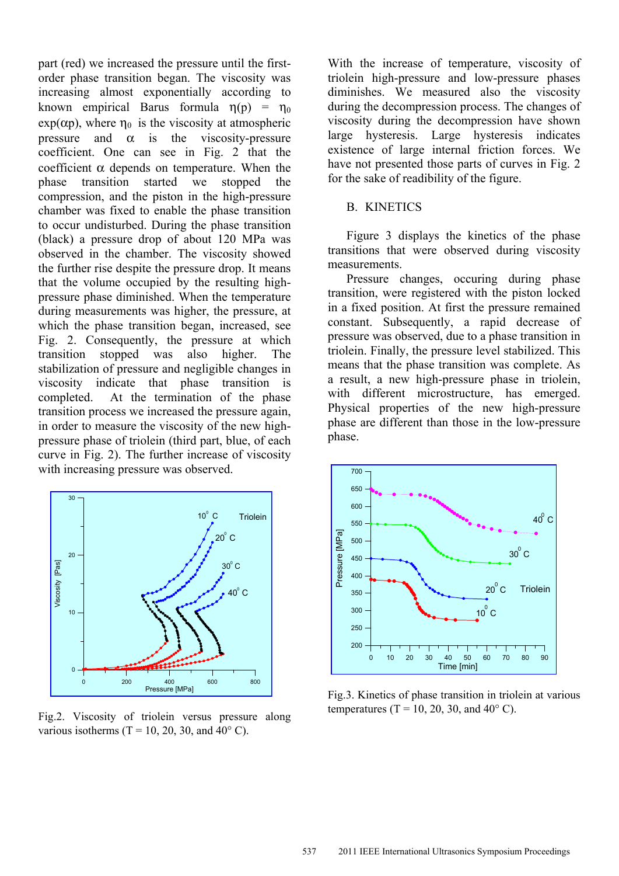part (red) we increased the pressure until the firstorder phase transition began. The viscosity was increasing almost exponentially according to known empirical Barus formula  $\eta(p) = \eta_0$  $\exp(\alpha p)$ , where  $\eta_0$  is the viscosity at atmospheric pressure and  $\alpha$  is the viscosity-pressure coefficient. One can see in Fig. 2 that the coefficient  $\alpha$  depends on temperature. When the phase transition started we stopped the compression, and the piston in the high-pressure chamber was fixed to enable the phase transition to occur undisturbed. During the phase transition (black) a pressure drop of about 120 MPa was observed in the chamber. The viscosity showed the further rise despite the pressure drop. It means that the volume occupied by the resulting highpressure phase diminished. When the temperature during measurements was higher, the pressure, at which the phase transition began, increased, see Fig. 2. Consequently, the pressure at which transition stopped was also higher. The stabilization of pressure and negligible changes in viscosity indicate that phase transition is completed. At the termination of the phase transition process we increased the pressure again, in order to measure the viscosity of the new highpressure phase of triolein (third part, blue, of each curve in Fig. 2). The further increase of viscosity with increasing pressure was observed.



Fig.2. Viscosity of triolein versus pressure along various isotherms (T = 10, 20, 30, and  $40^{\circ}$  C).

With the increase of temperature, viscosity of triolein high-pressure and low-pressure phases diminishes. We measured also the viscosity during the decompression process. The changes of viscosity during the decompression have shown large hysteresis. Large hysteresis indicates existence of large internal friction forces. We have not presented those parts of curves in Fig. 2 for the sake of readibility of the figure.

#### B. KINETICS

 Figure 3 displays the kinetics of the phase transitions that were observed during viscosity measurements.

 Pressure changes, occuring during phase transition, were registered with the piston locked in a fixed position. At first the pressure remained constant. Subsequently, a rapid decrease of pressure was observed, due to a phase transition in triolein. Finally, the pressure level stabilized. This means that the phase transition was complete. As a result, a new high-pressure phase in triolein, with different microstructure, has emerged. Physical properties of the new high-pressure phase are different than those in the low-pressure phase.



Fig.3. Kinetics of phase transition in triolein at various temperatures (T = 10, 20, 30, and  $40^{\circ}$  C).